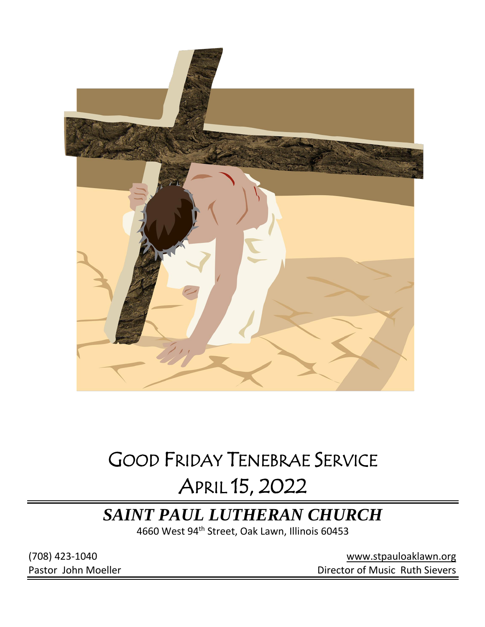

# GOOD FRIDAY TENEBRAE SERVICE APRIL 15, 2022

# *SAINT PAUL LUTHERAN CHURCH*

4660 West 94th Street, Oak Lawn, Illinois 60453

(708) 423-1040 [www.stpauloaklawn.org](about:blank) Pastor John Moeller **Director of Music Ruth Sievers**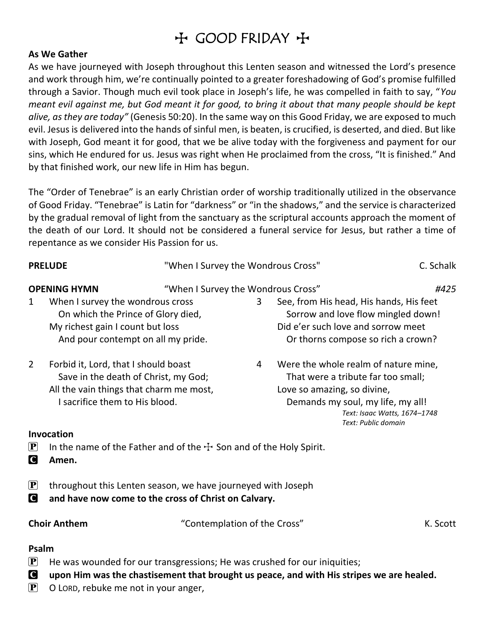# $H$  GOOD FRIDAY +

#### **As We Gather**

As we have journeyed with Joseph throughout this Lenten season and witnessed the Lord's presence and work through him, we're continually pointed to a greater foreshadowing of God's promise fulfilled through a Savior. Though much evil took place in Joseph's life, he was compelled in faith to say, "*You meant evil against me, but God meant it for good, to bring it about that many people should be kept alive, as they are today"* (Genesis 50:20). In the same way on this Good Friday, we are exposed to much evil. Jesus is delivered into the hands of sinful men, is beaten, is crucified, is deserted, and died. But like with Joseph, God meant it for good, that we be alive today with the forgiveness and payment for our sins, which He endured for us. Jesus was right when He proclaimed from the cross, "It is finished." And by that finished work, our new life in Him has begun.

The "Order of Tenebrae" is an early Christian order of worship traditionally utilized in the observance of Good Friday. "Tenebrae" is Latin for "darkness" or "in the shadows," and the service is characterized by the gradual removal of light from the sanctuary as the scriptural accounts approach the moment of the death of our Lord. It should not be considered a funeral service for Jesus, but rather a time of repentance as we consider His Passion for us.

| <b>PRELUDE</b>                           |                                                                                                                                                           | "When I Survey the Wondrous Cross" |   |                                                                                                                                                                                                       | C. Schalk |
|------------------------------------------|-----------------------------------------------------------------------------------------------------------------------------------------------------------|------------------------------------|---|-------------------------------------------------------------------------------------------------------------------------------------------------------------------------------------------------------|-----------|
| <b>OPENING HYMN</b>                      |                                                                                                                                                           | "When I Survey the Wondrous Cross" |   |                                                                                                                                                                                                       | #425      |
| $\mathbf{1}$                             | When I survey the wondrous cross<br>On which the Prince of Glory died,<br>My richest gain I count but loss<br>And pour contempt on all my pride.          |                                    | 3 | See, from His head, His hands, His feet<br>Sorrow and love flow mingled down!<br>Did e'er such love and sorrow meet<br>Or thorns compose so rich a crown?                                             |           |
| $\overline{2}$                           | Forbid it, Lord, that I should boast<br>Save in the death of Christ, my God;<br>All the vain things that charm me most,<br>I sacrifice them to His blood. |                                    | 4 | Were the whole realm of nature mine,<br>That were a tribute far too small;<br>Love so amazing, so divine,<br>Demands my soul, my life, my all!<br>Text: Isaac Watts, 1674-1748<br>Text: Public domain |           |
| $\left[\mathbf{P}\right]$<br>C           | <b>Invocation</b><br>In the name of the Father and of the $+$ Son and of the Holy Spirit.<br>Amen.                                                        |                                    |   |                                                                                                                                                                                                       |           |
| $\left[\mathbf{P}\right]$<br>$\mathbf G$ | throughout this Lenten season, we have journeyed with Joseph<br>and have now come to the cross of Christ on Calvary.                                      |                                    |   |                                                                                                                                                                                                       |           |
| <b>Choir Anthem</b>                      |                                                                                                                                                           | "Contemplation of the Cross"       |   |                                                                                                                                                                                                       | K. Scott  |
| Psalm<br>$\left[ \mathbf{P}\right]$      | He was wounded for our transgressions; He was crushed for our iniquities;                                                                                 |                                    |   |                                                                                                                                                                                                       |           |

- C **upon Him was the chastisement that brought us peace, and with His stripes we are healed.**
- $\left[ \mathbf{P} \right]$  O LORD, rebuke me not in your anger,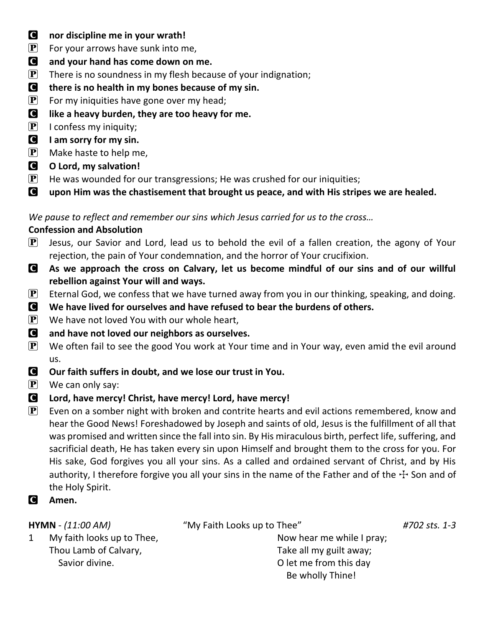- C **nor discipline me in your wrath!**
- $\left[ \mathbf{P} \right]$  For your arrows have sunk into me,
- C **and your hand has come down on me.**
- $\left| \mathbf{P} \right|$  There is no soundness in my flesh because of your indignation;
- C **there is no health in my bones because of my sin.**
- $\left[ \mathbf{P} \right]$  For my iniquities have gone over my head;
- C **like a heavy burden, they are too heavy for me.**
- $\left| \mathbf{P} \right|$  I confess my iniquity;
- C **I am sorry for my sin.**
- $\left| \mathbf{P} \right|$  Make haste to help me,
- C **O Lord, my salvation!**
- $\left| \mathbf{P} \right|$  He was wounded for our transgressions; He was crushed for our iniquities;
- C **upon Him was the chastisement that brought us peace, and with His stripes we are healed.**

*We pause to reflect and remember our sins which Jesus carried for us to the cross…*

### **Confession and Absolution**

- $\mathbf{P}$  Jesus, our Savior and Lord, lead us to behold the evil of a fallen creation, the agony of Your rejection, the pain of Your condemnation, and the horror of Your crucifixion.
- C **As we approach the cross on Calvary, let us become mindful of our sins and of our willful rebellion against Your will and ways.**
- $\mathbf{P}$  Eternal God, we confess that we have turned away from you in our thinking, speaking, and doing.
- C **We have lived for ourselves and have refused to bear the burdens of others.**
- $\left| \mathbf{P} \right|$  We have not loved You with our whole heart,
- C **and have not loved our neighbors as ourselves.**
- $\left[\mathbf{P}\right]$  We often fail to see the good You work at Your time and in Your way, even amid the evil around us.
- C **Our faith suffers in doubt, and we lose our trust in You.**
- $\left| \mathbf{P} \right|$  We can only say:
- C **Lord, have mercy! Christ, have mercy! Lord, have mercy!**
- $\left| \mathbf{P} \right|$  Even on a somber night with broken and contrite hearts and evil actions remembered, know and hear the Good News! Foreshadowed by Joseph and saints of old, Jesus is the fulfillment of all that was promised and written since the fall into sin. By His miraculous birth, perfect life, suffering, and sacrificial death, He has taken every sin upon Himself and brought them to the cross for you. For His sake, God forgives you all your sins. As a called and ordained servant of Christ, and by His authority, I therefore forgive you all your sins in the name of the Father and of the  $\pm$  Son and of the Holy Spirit.
- C **Amen.**

**HYMN** - *(11:00 AM)* "My Faith Looks up to Thee" *#702 sts. 1-3*

1 My faith looks up to Thee, Thou Lamb of Calvary, Savior divine.

Now hear me while I pray; Take all my guilt away; O let me from this day Be wholly Thine!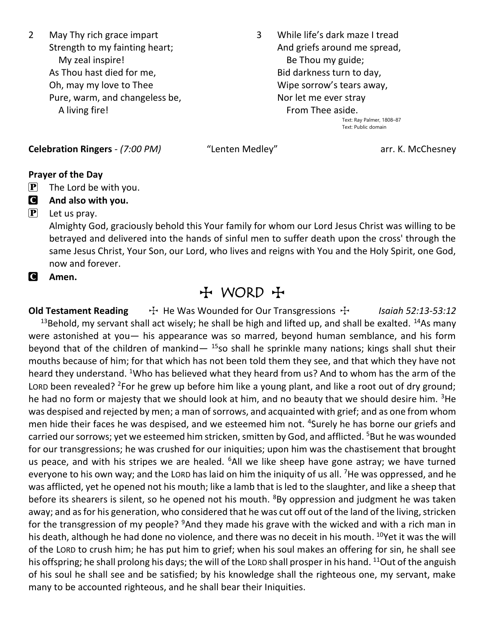2 May Thy rich grace impart Strength to my fainting heart; My zeal inspire! As Thou hast died for me, Oh, may my love to Thee Pure, warm, and changeless be, A living fire!

3 While life's dark maze I tread And griefs around me spread, Be Thou my guide; Bid darkness turn to day, Wipe sorrow's tears away, Nor let me ever stray From Thee aside.

Text: Ray Palmer, 1808–87 Text: Public domain

**Celebration Ringers** *-* (7:00 PM) "Lenten Medley" arr. K. McChesney

#### **Prayer of the Day**

 $\left| \mathbf{P} \right|$  The Lord be with you.

C **And also with you.**

 $\left[\mathbf{P}\right]$  Let us pray.

Almighty God, graciously behold this Your family for whom our Lord Jesus Christ was willing to be betrayed and delivered into the hands of sinful men to suffer death upon the cross' through the same Jesus Christ, Your Son, our Lord, who lives and reigns with You and the Holy Spirit, one God, now and forever.

C **Amen.**

# TWORDT

**Old Testament Reading**  $\quad$   $\!$  He Was Wounded for Our Transgressions  $\quad$  *Isaiah 52:13-53:12* <sup>13</sup>Behold, my servant shall act wisely; he shall be high and lifted up, and shall be exalted. <sup>14</sup>As many were astonished at you— his appearance was so marred, beyond human semblance, and his form beyond that of the children of mankind—  $15$ so shall he sprinkle many nations; kings shall shut their mouths because of him; for that which has not been told them they see, and that which they have not heard they understand. <sup>1</sup>Who has believed what they heard from us? And to whom has the arm of the LORD been revealed? <sup>2</sup>For he grew up before him like a young plant, and like a root out of dry ground; he had no form or majesty that we should look at him, and no beauty that we should desire him.  $3$ He was despised and rejected by men; a man of sorrows, and acquainted with grief; and as one from whom men hide their faces he was despised, and we esteemed him not. <sup>4</sup>Surely he has borne our griefs and carried our sorrows; yet we esteemed him stricken, smitten by God, and afflicted. <sup>5</sup>But he was wounded for our transgressions; he was crushed for our iniquities; upon him was the chastisement that brought us peace, and with his stripes we are healed.  $6$ All we like sheep have gone astray; we have turned everyone to his own way; and the LORD has laid on him the iniquity of us all. <sup>7</sup>He was oppressed, and he was afflicted, yet he opened not his mouth; like a lamb that is led to the slaughter, and like a sheep that before its shearers is silent, so he opened not his mouth. <sup>8</sup>By oppression and judgment he was taken away; and as for his generation, who considered that he was cut off out of the land of the living, stricken for the transgression of my people? <sup>9</sup>And they made his grave with the wicked and with a rich man in his death, although he had done no violence, and there was no deceit in his mouth. <sup>10</sup>Yet it was the will of the LORD to crush him; he has put him to grief; when his soul makes an offering for sin, he shall see his offspring; he shall prolong his days; the will of the LORD shall prosper in his hand. <sup>11</sup>Out of the anguish of his soul he shall see and be satisfied; by his knowledge shall the righteous one, my servant, make many to be accounted righteous, and he shall bear their Iniquities.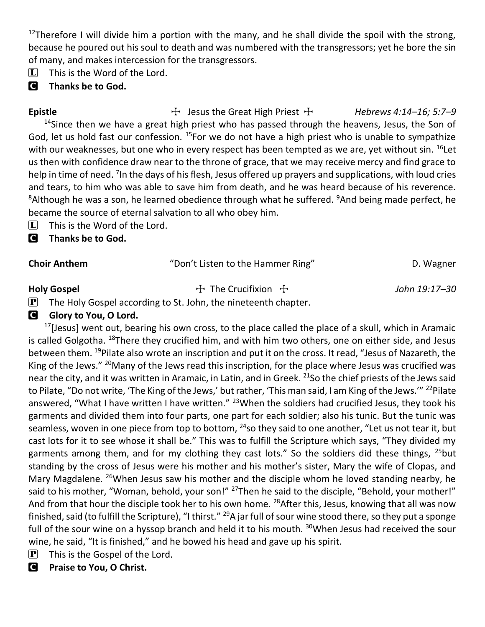<sup>12</sup>Therefore I will divide him a portion with the many, and he shall divide the spoil with the strong, because he poured out his soul to death and was numbered with the transgressors; yet he bore the sin of many, and makes intercession for the transgressors.

 $\boxed{\mathbf{L}}$  This is the Word of the Lord.

### C **Thanks be to God.**

Epistle The Sepistle The Sepistle Transfer Tessus the Great High Priest  $\pm$  *Hebrews 4:14–16; 5:7–9* <sup>14</sup>Since then we have a great high priest who has passed through the heavens, Jesus, the Son of God, let us hold fast our confession. <sup>15</sup>For we do not have a high priest who is unable to sympathize with our weaknesses, but one who in every respect has been tempted as we are, yet without sin. <sup>16</sup>Let us then with confidence draw near to the throne of grace, that we may receive mercy and find grace to help in time of need. <sup>7</sup>In the days of his flesh, Jesus offered up prayers and supplications, with loud cries and tears, to him who was able to save him from death, and he was heard because of his reverence.  $8$ Although he was a son, he learned obedience through what he suffered.  $9$ And being made perfect, he became the source of eternal salvation to all who obey him.

 $\boxed{\mathbf{L}}$  This is the Word of the Lord.

C **Thanks be to God.**

| <b>Choir Anthem</b> | "Don't Listen to the Hammer Ring" | D. Wagner     |
|---------------------|-----------------------------------|---------------|
| <b>Holy Gospel</b>  | $\pm$ The Crucifixion $\pm$       | John 19:17-30 |

### $\mathbf{P}$  The Holy Gospel according to St. John, the nineteenth chapter.

### **G** Glory to You, O Lord.

 $17$ [Jesus] went out, bearing his own cross, to the place called the place of a skull, which in Aramaic is called Golgotha. <sup>18</sup>There they crucified him, and with him two others, one on either side, and Jesus between them. <sup>19</sup>Pilate also wrote an inscription and put it on the cross. It read, "Jesus of Nazareth, the King of the Jews." <sup>20</sup>Many of the Jews read this inscription, for the place where Jesus was crucified was near the city, and it was written in Aramaic, in Latin, and in Greek. <sup>21</sup>So the chief priests of the Jews said to Pilate, "Do not write, 'The King of the Jews,' but rather, 'This man said, I am King of the Jews.'" <sup>22</sup>Pilate answered, "What I have written I have written." <sup>23</sup>When the soldiers had crucified Jesus, they took his garments and divided them into four parts, one part for each soldier; also his tunic. But the tunic was seamless, woven in one piece from top to bottom, <sup>24</sup>so they said to one another, "Let us not tear it, but cast lots for it to see whose it shall be." This was to fulfill the Scripture which says, "They divided my garments among them, and for my clothing they cast lots." So the soldiers did these things,  $^{25}$ but standing by the cross of Jesus were his mother and his mother's sister, Mary the wife of Clopas, and Mary Magdalene. <sup>26</sup>When Jesus saw his mother and the disciple whom he loved standing nearby, he said to his mother, "Woman, behold, your son!" <sup>27</sup>Then he said to the disciple, "Behold, your mother!" And from that hour the disciple took her to his own home. <sup>28</sup>After this, Jesus, knowing that all was now finished, said (to fulfill the Scripture), "I thirst." <sup>29</sup>A jar full of sour wine stood there, so they put a sponge full of the sour wine on a hyssop branch and held it to his mouth. <sup>30</sup>When Jesus had received the sour wine, he said, "It is finished," and he bowed his head and gave up his spirit.

 $\boxed{\mathbf{P}}$  This is the Gospel of the Lord.

C **Praise to You, O Christ.**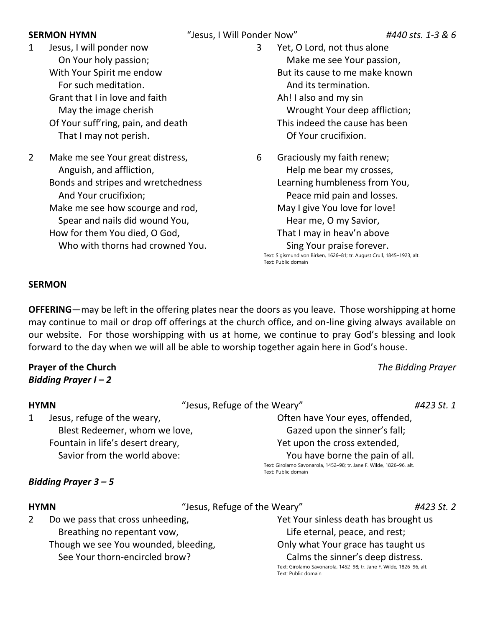**SERMON HYMN** "Jesus, I Will Ponder Now" *#440 sts. 1-3 & 6*

- 1 Jesus, I will ponder now On Your holy passion; With Your Spirit me endow For such meditation. Grant that I in love and faith May the image cherish Of Your suff'ring, pain, and death That I may not perish.
- 2 Make me see Your great distress, Anguish, and affliction, Bonds and stripes and wretchedness And Your crucifixion; Make me see how scourge and rod, Spear and nails did wound You, How for them You died, O God, Who with thorns had crowned You.
- 3 Yet, O Lord, not thus alone Make me see Your passion, But its cause to me make known And its termination. Ah! I also and my sin Wrought Your deep affliction; This indeed the cause has been Of Your crucifixion.
- 6 Graciously my faith renew; Help me bear my crosses, Learning humbleness from You, Peace mid pain and losses. May I give You love for love! Hear me, O my Savior, That I may in heav'n above Sing Your praise forever.

Text: Sigismund von Birken, 1626–81; tr. August Crull, 1845–1923, alt. Text: Public domain

#### **SERMON**

**OFFERING**—may be left in the offering plates near the doors as you leave. Those worshipping at home may continue to mail or drop off offerings at the church office, and on-line giving always available on our website. For those worshipping with us at home, we continue to pray God's blessing and look forward to the day when we will all be able to worship together again here in God's house.

### **Prayer of the Church** *The Bidding Prayer Bidding Prayer I – 2*

| <b>HYMN</b>                       |                               | "Jesus, Refuge of the Weary"                                                                |  |
|-----------------------------------|-------------------------------|---------------------------------------------------------------------------------------------|--|
|                                   | Jesus, refuge of the weary,   | Often have Your eyes, offended,                                                             |  |
|                                   | Blest Redeemer, whom we love, | Gazed upon the sinner's fall;                                                               |  |
| Fountain in life's desert dreary, |                               | Yet upon the cross extended,                                                                |  |
|                                   | Savior from the world above:  | You have borne the pain of all.                                                             |  |
|                                   |                               | Text: Girolamo Savonarola, 1452-98; tr. Jane F. Wilde, 1826-96, alt.<br>Text: Public domain |  |
|                                   | Bidding Prayer $3 - 5$        |                                                                                             |  |

**HYMN** "Jesus, Refuge of the Weary" *#423 St. 2*

2 Do we pass that cross unheeding, Breathing no repentant vow, Though we see You wounded, bleeding, See Your thorn-encircled brow?

Yet Your sinless death has brought us Life eternal, peace, and rest; Only what Your grace has taught us Calms the sinner's deep distress. Text: Girolamo Savonarola, 1452–98; tr. Jane F. Wilde, 1826–96, alt.

Text: Public domain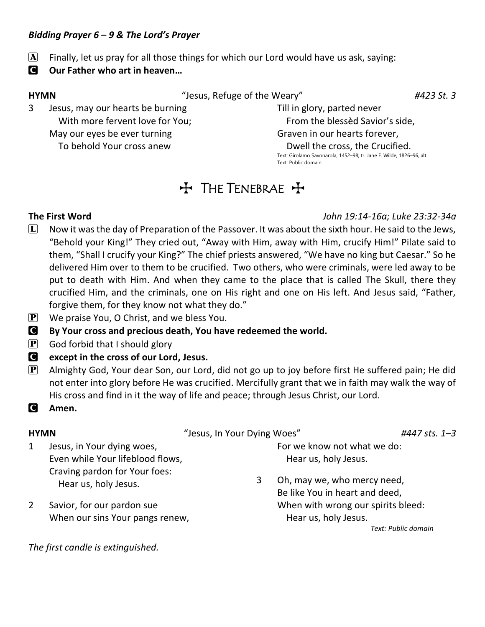### *Bidding Prayer 6 – 9 & The Lord's Prayer*

- $\overline{A}$  Finally, let us pray for all those things for which our Lord would have us ask, saying:
- C **Our Father who art in heaven…**

**HYMN** "Jesus, Refuge of the Weary" *#423 St. 3*

3 Jesus, may our hearts be burning With more fervent love for You; May our eyes be ever turning To behold Your cross anew

Till in glory, parted never From the blessèd Savior's side, Graven in our hearts forever, Dwell the cross, the Crucified. Text: Girolamo Savonarola, 1452–98; tr. Jane F. Wilde, 1826–96, alt. Text: Public domain

# TTHE TENEBRAET

### **The First Word** *John 19:14-16a; Luke 23:32-34a*

- $\Box$  Now it was the day of Preparation of the Passover. It was about the sixth hour. He said to the Jews, "Behold your King!" They cried out, "Away with Him, away with Him, crucify Him!" Pilate said to them, "Shall I crucify your King?" The chief priests answered, "We have no king but Caesar." So he delivered Him over to them to be crucified. Two others, who were criminals, were led away to be put to death with Him. And when they came to the place that is called The Skull, there they crucified Him, and the criminals, one on His right and one on His left. And Jesus said, "Father, forgive them, for they know not what they do."
- $\left[ \mathbf{P} \right]$  We praise You, O Christ, and we bless You.
- C **By Your cross and precious death, You have redeemed the world.**
- $\left| \mathbf{P} \right|$  God forbid that I should glory
- C **except in the cross of our Lord, Jesus.**

Even while Your lifeblood flows, Craving pardon for Your foes:

When our sins Your pangs renew,

- $\left[\mathbf{P}\right]$  Almighty God, Your dear Son, our Lord, did not go up to joy before first He suffered pain; He did not enter into glory before He was crucified. Mercifully grant that we in faith may walk the way of His cross and find in it the way of life and peace; through Jesus Christ, our Lord.
- C **Amen.**

**HYMN** "Jesus, In Your Dying Woes" *#447 sts. 1–3*

For we know not what we do: Hear us, holy Jesus.

3 Oh, may we, who mercy need, Be like You in heart and deed, When with wrong our spirits bleed: Hear us, holy Jesus.

*Text: Public domain*

*The first candle is extinguished.*

2 Savior, for our pardon sue

1 Jesus, in Your dying woes,

Hear us, holy Jesus.

- 
- 
-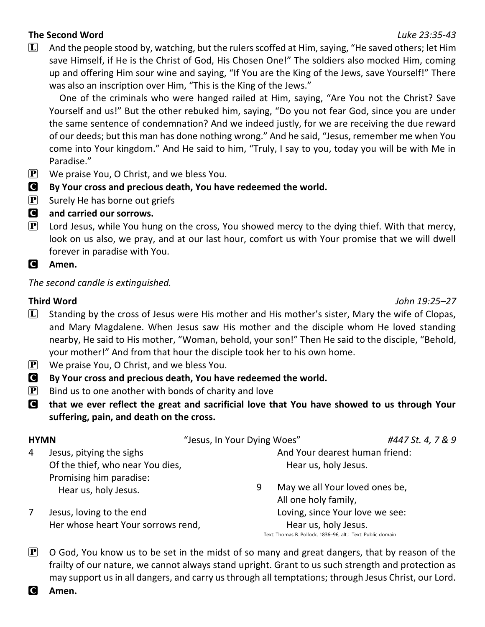### **The Second Word** *Luke 23:35-43*

 $\Box$  And the people stood by, watching, but the rulers scoffed at Him, saying, "He saved others; let Him save Himself, if He is the Christ of God, His Chosen One!" The soldiers also mocked Him, coming up and offering Him sour wine and saying, "If You are the King of the Jews, save Yourself!" There was also an inscription over Him, "This is the King of the Jews."

One of the criminals who were hanged railed at Him, saying, "Are You not the Christ? Save Yourself and us!" But the other rebuked him, saying, "Do you not fear God, since you are under the same sentence of condemnation? And we indeed justly, for we are receiving the due reward of our deeds; but this man has done nothing wrong." And he said, "Jesus, remember me when You come into Your kingdom." And He said to him, "Truly, I say to you, today you will be with Me in Paradise."

- $\mathbf{P}$  We praise You, O Christ, and we bless You.
- C **By Your cross and precious death, You have redeemed the world.**
- $\left| \mathbf{P} \right|$  Surely He has borne out griefs
- C **and carried our sorrows.**
- $\left[\mathbf{P}\right]$  Lord Jesus, while You hung on the cross, You showed mercy to the dying thief. With that mercy, look on us also, we pray, and at our last hour, comfort us with Your promise that we will dwell forever in paradise with You.

C **Amen.**

#### *The second candle is extinguished.*

### **Third Word** *John 19:25–27*

- $[\mathbf{L}]$  Standing by the cross of Jesus were His mother and His mother's sister, Mary the wife of Clopas, and Mary Magdalene. When Jesus saw His mother and the disciple whom He loved standing nearby, He said to His mother, "Woman, behold, your son!" Then He said to the disciple, "Behold, your mother!" And from that hour the disciple took her to his own home.
- $\mathbf{P}$  We praise You, O Christ, and we bless You.
- C **By Your cross and precious death, You have redeemed the world.**
- $\mathbf{P}$  Bind us to one another with bonds of charity and love
- C **that we ever reflect the great and sacrificial love that You have showed to us through Your suffering, pain, and death on the cross.**

| <b>HYMN</b> |                                                                                         | "Jesus, In Your Dying Woes"                                                                                            | #447 St. 4, 7 & 9 |
|-------------|-----------------------------------------------------------------------------------------|------------------------------------------------------------------------------------------------------------------------|-------------------|
| 4           | Jesus, pitying the sighs<br>Of the thief, who near You dies,<br>Promising him paradise: | And Your dearest human friend:<br>Hear us, holy Jesus.                                                                 |                   |
|             | Hear us, holy Jesus.                                                                    | May we all Your loved ones be,<br>9<br>All one holy family,                                                            |                   |
| 7           | Jesus, loving to the end<br>Her whose heart Your sorrows rend,                          | Loving, since Your love we see:<br>Hear us, holy Jesus.<br>Text: Thomas B. Pollock, 1836-96, alt.; Text: Public domain |                   |

 $\mathbf{P}$  O God, You know us to be set in the midst of so many and great dangers, that by reason of the frailty of our nature, we cannot always stand upright. Grant to us such strength and protection as may support us in all dangers, and carry us through all temptations; through Jesus Christ, our Lord.

C **Amen.**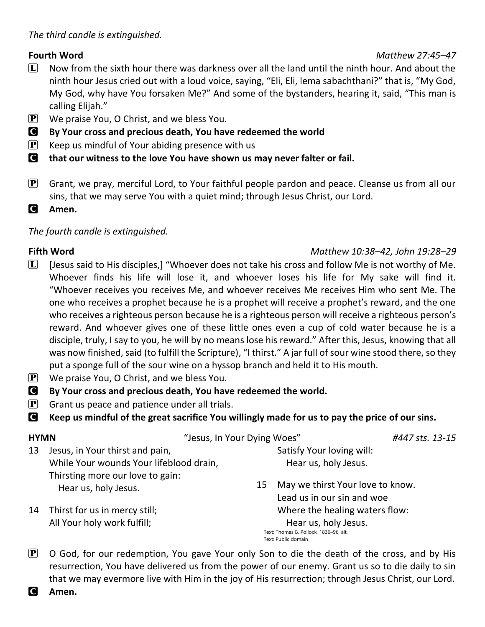### *The third candle is extinguished.*

#### **Fourth Word** *Matthew 27:45–47*

- $[L]$  Now from the sixth hour there was darkness over all the land until the ninth hour. And about the ninth hour Jesus cried out with a loud voice, saying, "Eli, Eli, lema sabachthani?" that is, "My God, My God, why have You forsaken Me?" And some of the bystanders, hearing it, said, "This man is calling Elijah."
- $\mathbf{P}$  We praise You, O Christ, and we bless You.
- C **By Your cross and precious death, You have redeemed the world**
- $\left| \mathbf{P} \right|$  Keep us mindful of Your abiding presence with us
- C **that our witness to the love You have shown us may never falter or fail.**
- $\mathbf{P}$  Grant, we pray, merciful Lord, to Your faithful people pardon and peace. Cleanse us from all our sins, that we may serve You with a quiet mind; through Jesus Christ, our Lord.
- C **Amen.**

### *The fourth candle is extinguished.*

### **Fifth Word** *Matthew 10:38–42, John 19:28–29*

- $\Box$  [Jesus said to His disciples,] "Whoever does not take his cross and follow Me is not worthy of Me. Whoever finds his life will lose it, and whoever loses his life for My sake will find it. "Whoever receives you receives Me, and whoever receives Me receives Him who sent Me. The one who receives a prophet because he is a prophet will receive a prophet's reward, and the one who receives a righteous person because he is a righteous person will receive a righteous person's reward. And whoever gives one of these little ones even a cup of cold water because he is a disciple, truly, I say to you, he will by no means lose his reward." After this, Jesus, knowing that all was now finished, said (to fulfill the Scripture), "I thirst." A jar full of sour wine stood there, so they put a sponge full of the sour wine on a hyssop branch and held it to His mouth.
- $\mathbf{P}$  We praise You, O Christ, and we bless You.
- C **By Your cross and precious death, You have redeemed the world.**
- $\mathbf{P}$  Grant us peace and patience under all trials.
- C **Keep us mindful of the great sacrifice You willingly made for us to pay the price of our sins.**

| <b>HYMN</b> |                                                                                                                | "Jesus, In Your Dying Woes"                                                                      | #447 sts. 13-15 |
|-------------|----------------------------------------------------------------------------------------------------------------|--------------------------------------------------------------------------------------------------|-----------------|
| 13          | Jesus, in Your thirst and pain,<br>While Your wounds Your lifeblood drain,<br>Thirsting more our love to gain: | Satisfy Your loving will:<br>Hear us, holy Jesus.                                                |                 |
|             | Hear us, holy Jesus.                                                                                           | May we thirst Your love to know.<br>15<br>Lead us in our sin and woe                             |                 |
| 14          | Thirst for us in mercy still;<br>All Your holy work fulfill;                                                   | Where the healing waters flow:<br>Hear us, holy Jesus.<br>Text: Thomas B. Pollock, 1836-96, alt. |                 |
|             |                                                                                                                | Text: Public domain                                                                              |                 |

- $\mathbf{P}$  O God, for our redemption, You gave Your only Son to die the death of the cross, and by His resurrection, You have delivered us from the power of our enemy. Grant us so to die daily to sin that we may evermore live with Him in the joy of His resurrection; through Jesus Christ, our Lord.
- C **Amen.**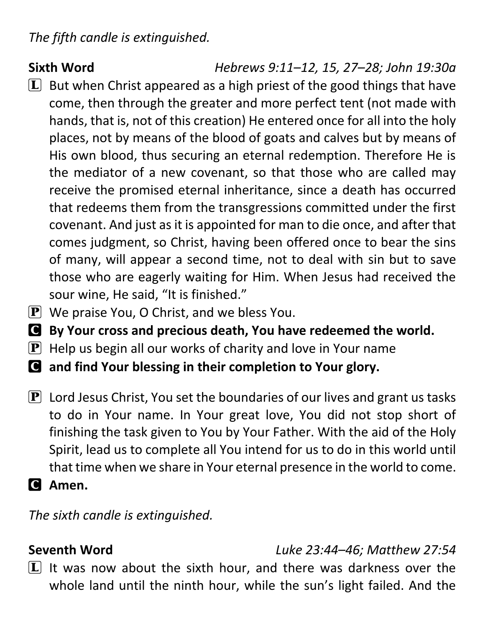*The fifth candle is extinguished.*

**Sixth Word** *Hebrews 9:11–12, 15, 27–28; John 19:30a*

- $[L]$  But when Christ appeared as a high priest of the good things that have come, then through the greater and more perfect tent (not made with hands, that is, not of this creation) He entered once for all into the holy places, not by means of the blood of goats and calves but by means of His own blood, thus securing an eternal redemption. Therefore He is the mediator of a new covenant, so that those who are called may receive the promised eternal inheritance, since a death has occurred that redeems them from the transgressions committed under the first covenant. And just as it is appointed for man to die once, and after that comes judgment, so Christ, having been offered once to bear the sins of many, will appear a second time, not to deal with sin but to save those who are eagerly waiting for Him. When Jesus had received the sour wine, He said, "It is finished."
- $[P]$  We praise You, O Christ, and we bless You.
- C **By Your cross and precious death, You have redeemed the world.**
- $\left[ \mathbf{P} \right]$  Help us begin all our works of charity and love in Your name
- C **and find Your blessing in their completion to Your glory.**
- $\left[ \mathbf{P} \right]$  Lord Jesus Christ, You set the boundaries of our lives and grant us tasks to do in Your name. In Your great love, You did not stop short of finishing the task given to You by Your Father. With the aid of the Holy Spirit, lead us to complete all You intend for us to do in this world until that time when we share in Your eternal presence in the world to come.
- C **Amen.**

*The sixth candle is extinguished.*

# **Seventh Word** *Luke 23:44–46; Matthew 27:54*

 $\boxed{\mathbf{L}}$  It was now about the sixth hour, and there was darkness over the whole land until the ninth hour, while the sun's light failed. And the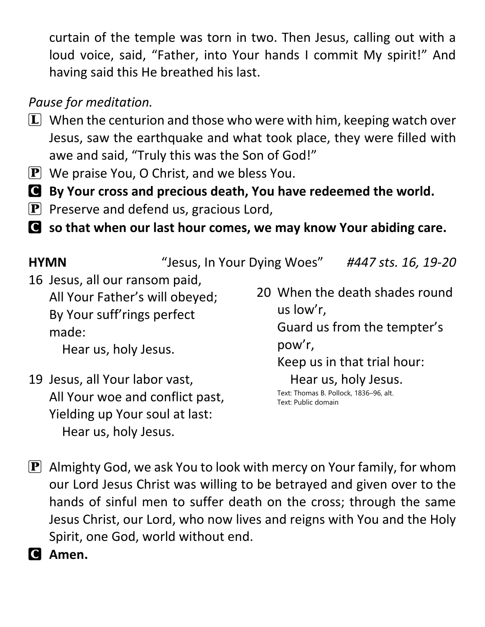curtain of the temple was torn in two. Then Jesus, calling out with a loud voice, said, "Father, into Your hands I commit My spirit!" And having said this He breathed his last.

# *Pause for meditation.*

- $\boxed{\mathbf{L}}$  When the centurion and those who were with him, keeping watch over Jesus, saw the earthquake and what took place, they were filled with awe and said, "Truly this was the Son of God!"
- $\left[\mathbf{P}\right]$  We praise You, O Christ, and we bless You.
- C **By Your cross and precious death, You have redeemed the world.**
- $\left[ \mathbf{P} \right]$  Preserve and defend us, gracious Lord,

Hear us, holy Jesus.

C **so that when our last hour comes, we may know Your abiding care.**

| <b>HYMN</b>                                                                                         | "Jesus, In Your Dying Woes"                                                                                            |                                                               | #447 sts. 16, 19-20                                                                          |
|-----------------------------------------------------------------------------------------------------|------------------------------------------------------------------------------------------------------------------------|---------------------------------------------------------------|----------------------------------------------------------------------------------------------|
| made:                                                                                               | 16 Jesus, all our ransom paid,<br>All Your Father's will obeyed;<br>By Your suff'rings perfect<br>Hear us, holy Jesus. |                                                               | 20 When the death shades round<br>Guard us from the tempter's<br>Keep us in that trial hour: |
| 19 Jesus, all Your labor vast,<br>All Your woe and conflict past,<br>Yielding up Your soul at last: |                                                                                                                        | Text: Thomas B. Pollock, 1836-96, alt.<br>Text: Public domain | Hear us, holy Jesus.                                                                         |

- $\left[\mathbf{P}\right]$  Almighty God, we ask You to look with mercy on Your family, for whom our Lord Jesus Christ was willing to be betrayed and given over to the hands of sinful men to suffer death on the cross; through the same Jesus Christ, our Lord, who now lives and reigns with You and the Holy Spirit, one God, world without end.
- C **Amen.**